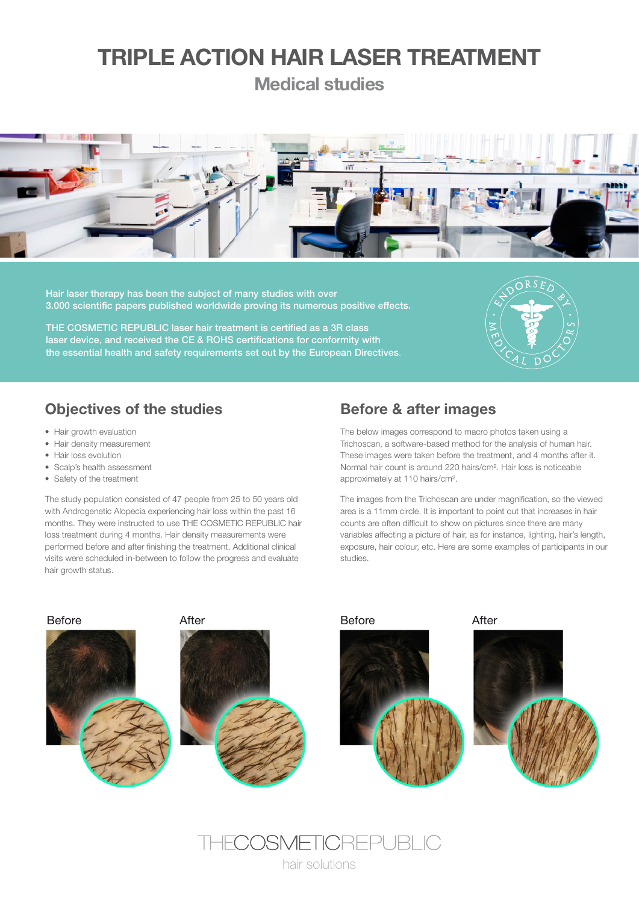# **TRIPLE ACTION HAIR LASER TREATMENT**

**Medical studies**



Hair laser therapy has been the subject of many studies with over 3.000 scientific papers published worldwide proving its numerous positive effects.

THE COSMETIC REPUBLIC laser hair treatment is certified as a 3R class laser device, and received the CE & ROHS certifications for conformity with the essential health and safety requirements set out by the European Directives.



#### Objectives of the studies

- Hair growth evaluation
- Hair density measurement
- Hair loss evolution
- Scalp's health assessment
- Safety of the treatment

The study population consisted of 47 people from 25 to 50 years old with Androgenetic Alopecia experiencing hair loss within the past 16 months. They were instructed to use THE COSMETIC REPUBLIC hair loss treatment during 4 months. Hair density measurements were performed before and after finishing the treatment. Additional clinical visits were scheduled in-between to follow the progress and evaluate hair growth status.

## Before & after images

The below images correspond to macro photos taken using a Trichoscan, a software-based method for the analysis of human hair. These images were taken before the treatment, and 4 months after it. Normal hair count is around 220 hairs/cm². Hair loss is noticeable approximately at 110 hairs/cm².

The images from the Trichoscan are under magnification, so the viewed area is a 11mm circle. It is important to point out that increases in hair counts are often difficult to show on pictures since there are many variables affecting a picture of hair, as for instance, lighting, hair's length, exposure, hair colour, etc. Here are some examples of participants in our studies.



hair solutions

**THECOSMETICREPUBLIC**